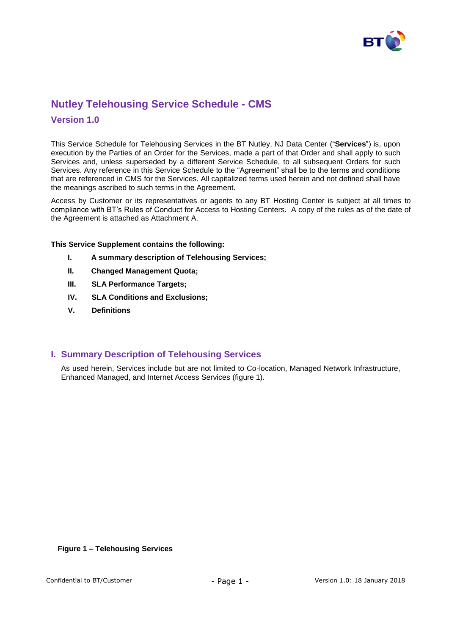

# **Nutley Telehousing Service Schedule - CMS**

### **Version 1.0**

This Service Schedule for Telehousing Services in the BT Nutley, NJ Data Center ("**Services**") is, upon execution by the Parties of an Order for the Services, made a part of that Order and shall apply to such Services and, unless superseded by a different Service Schedule, to all subsequent Orders for such Services. Any reference in this Service Schedule to the "Agreement" shall be to the terms and conditions that are referenced in CMS for the Services. All capitalized terms used herein and not defined shall have the meanings ascribed to such terms in the Agreement.

Access by Customer or its representatives or agents to any BT Hosting Center is subject at all times to compliance with BT's Rules of Conduct for Access to Hosting Centers. A copy of the rules as of the date of the Agreement is attached as Attachment A.

**This Service Supplement contains the following:**

- **I. A summary description of Telehousing Services;**
- **II. Changed Management Quota;**
- **III. SLA Performance Targets;**
- **IV. SLA Conditions and Exclusions;**
- **V. Definitions**

### **I. Summary Description of Telehousing Services**

As used herein, Services include but are not limited to Co-location, Managed Network Infrastructure, Enhanced Managed, and Internet Access Services (figure 1).

#### **Figure 1 – Telehousing Services**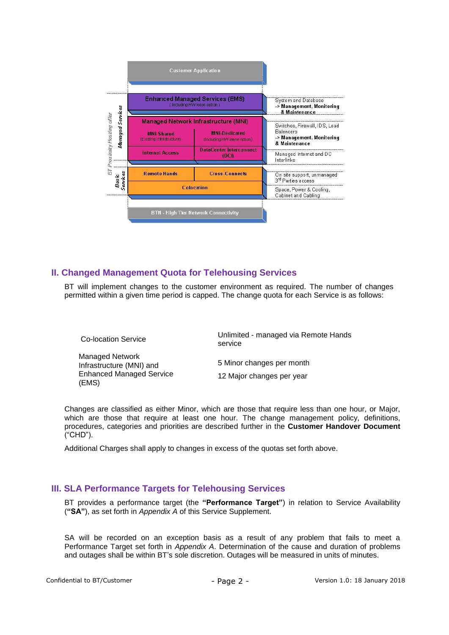

# **II. Changed Management Quota for Telehousing Services**

BT will implement changes to the customer environment as required. The number of changes permitted within a given time period is capped. The change quota for each Service is as follows:

| <b>Co-location Service</b>                                                                     | Unlimited - managed via Remote Hands<br>service        |
|------------------------------------------------------------------------------------------------|--------------------------------------------------------|
| <b>Managed Network</b><br>Infrastructure (MNI) and<br><b>Enhanced Managed Service</b><br>(EMS) | 5 Minor changes per month<br>12 Major changes per year |

Changes are classified as either Minor, which are those that require less than one hour, or Major, which are those that require at least one hour. The change management policy, definitions, procedures, categories and priorities are described further in the **Customer Handover Document** ("CHD").

Additional Charges shall apply to changes in excess of the quotas set forth above.

# **III. SLA Performance Targets for Telehousing Services**

BT provides a performance target (the **"Performance Target"**) in relation to Service Availability (**"SA"**), as set forth in *Appendix A* of this Service Supplement.

SA will be recorded on an exception basis as a result of any problem that fails to meet a Performance Target set forth in *Appendix A*. Determination of the cause and duration of problems and outages shall be within BT's sole discretion. Outages will be measured in units of minutes.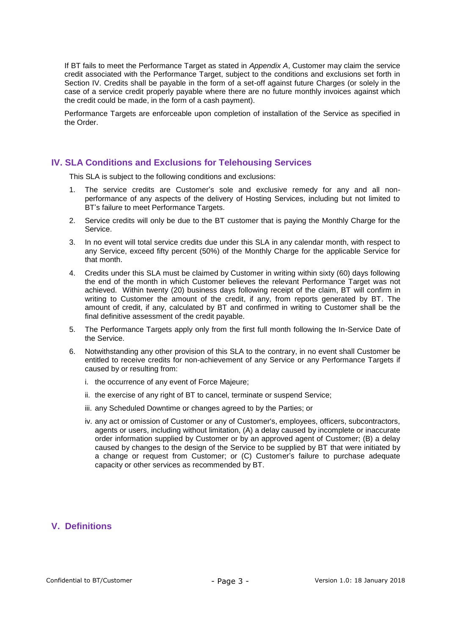If BT fails to meet the Performance Target as stated in *Appendix A*, Customer may claim the service credit associated with the Performance Target, subject to the conditions and exclusions set forth in Section IV. Credits shall be payable in the form of a set-off against future Charges (or solely in the case of a service credit properly payable where there are no future monthly invoices against which the credit could be made, in the form of a cash payment).

Performance Targets are enforceable upon completion of installation of the Service as specified in the Order.

#### **IV. SLA Conditions and Exclusions for Telehousing Services**

This SLA is subject to the following conditions and exclusions:

- 1. The service credits are Customer's sole and exclusive remedy for any and all nonperformance of any aspects of the delivery of Hosting Services, including but not limited to BT's failure to meet Performance Targets.
- 2. Service credits will only be due to the BT customer that is paying the Monthly Charge for the Service.
- 3. In no event will total service credits due under this SLA in any calendar month, with respect to any Service, exceed fifty percent (50%) of the Monthly Charge for the applicable Service for that month.
- 4. Credits under this SLA must be claimed by Customer in writing within sixty (60) days following the end of the month in which Customer believes the relevant Performance Target was not achieved. Within twenty (20) business days following receipt of the claim, BT will confirm in writing to Customer the amount of the credit, if any, from reports generated by BT. The amount of credit, if any, calculated by BT and confirmed in writing to Customer shall be the final definitive assessment of the credit payable.
- 5. The Performance Targets apply only from the first full month following the In-Service Date of the Service.
- 6. Notwithstanding any other provision of this SLA to the contrary, in no event shall Customer be entitled to receive credits for non-achievement of any Service or any Performance Targets if caused by or resulting from:
	- i. the occurrence of any event of Force Majeure;
	- ii. the exercise of any right of BT to cancel, terminate or suspend Service;
	- iii. any Scheduled Downtime or changes agreed to by the Parties; or
	- iv. any act or omission of Customer or any of Customer's, employees, officers, subcontractors, agents or users, including without limitation, (A) a delay caused by incomplete or inaccurate order information supplied by Customer or by an approved agent of Customer; (B) a delay caused by changes to the design of the Service to be supplied by BT that were initiated by a change or request from Customer; or (C) Customer's failure to purchase adequate capacity or other services as recommended by BT.

### **V. Definitions**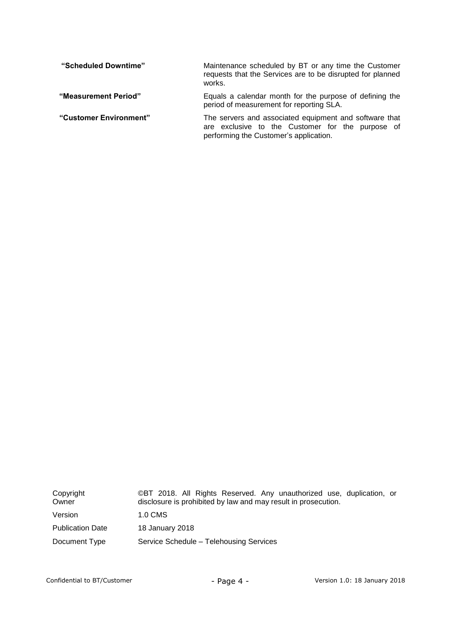| "Scheduled Downtime"   | Maintenance scheduled by BT or any time the Customer<br>requests that the Services are to be disrupted for planned<br>works.                         |  |  |  |
|------------------------|------------------------------------------------------------------------------------------------------------------------------------------------------|--|--|--|
| "Measurement Period"   | Equals a calendar month for the purpose of defining the<br>period of measurement for reporting SLA.                                                  |  |  |  |
| "Customer Environment" | The servers and associated equipment and software that<br>are exclusive to the Customer for the purpose of<br>performing the Customer's application. |  |  |  |

| Copyright<br>Owner      | ©BT 2018. All Rights Reserved. Any unauthorized use, duplication, or<br>disclosure is prohibited by law and may result in prosecution. |
|-------------------------|----------------------------------------------------------------------------------------------------------------------------------------|
| Version                 | 1.0 CMS                                                                                                                                |
| <b>Publication Date</b> | 18 January 2018                                                                                                                        |
| Document Type           | Service Schedule – Telehousing Services                                                                                                |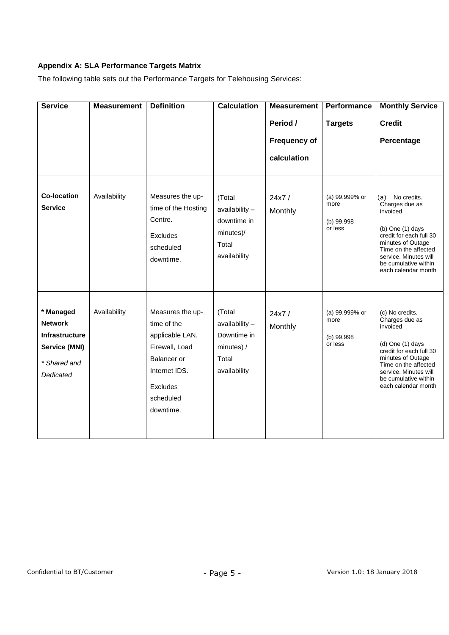# **Appendix A: SLA Performance Targets Matrix**

The following table sets out the Performance Targets for Telehousing Services:

| <b>Service</b>                                                                                     | <b>Measurement</b> | <b>Definition</b>                                                                                                                          | <b>Calculation</b>                                                                  | <b>Measurement</b>                             | Performance                                     | <b>Monthly Service</b>                                                                                                                                                                                                 |
|----------------------------------------------------------------------------------------------------|--------------------|--------------------------------------------------------------------------------------------------------------------------------------------|-------------------------------------------------------------------------------------|------------------------------------------------|-------------------------------------------------|------------------------------------------------------------------------------------------------------------------------------------------------------------------------------------------------------------------------|
|                                                                                                    |                    |                                                                                                                                            |                                                                                     | Period /<br><b>Frequency of</b><br>calculation | <b>Targets</b>                                  | <b>Credit</b><br>Percentage                                                                                                                                                                                            |
| <b>Co-location</b><br><b>Service</b>                                                               | Availability       | Measures the up-<br>time of the Hosting<br>Centre.<br>Excludes<br>scheduled<br>downtime.                                                   | (Total<br>$a$ vailability $-$<br>downtime in<br>minutes)/<br>Total<br>availability  | 24x7/<br>Monthly                               | (a) 99.999% or<br>more<br>(b) 99.998<br>or less | (a)<br>No credits.<br>Charges due as<br>invoiced<br>(b) One $(1)$ days<br>credit for each full 30<br>minutes of Outage<br>Time on the affected<br>service. Minutes will<br>be cumulative within<br>each calendar month |
| * Managed<br><b>Network</b><br><b>Infrastructure</b><br>Service (MNI)<br>* Shared and<br>Dedicated | Availability       | Measures the up-<br>time of the<br>applicable LAN,<br>Firewall, Load<br>Balancer or<br>Internet IDS.<br>Excludes<br>scheduled<br>downtime. | (Total<br>$a$ vailability $-$<br>Downtime in<br>minutes) /<br>Total<br>availability | 24x7/<br>Monthly                               | (a) 99.999% or<br>more<br>(b) 99.998<br>or less | (c) No credits.<br>Charges due as<br>invoiced<br>(d) One (1) days<br>credit for each full 30<br>minutes of Outage<br>Time on the affected<br>service. Minutes will<br>be cumulative within<br>each calendar month      |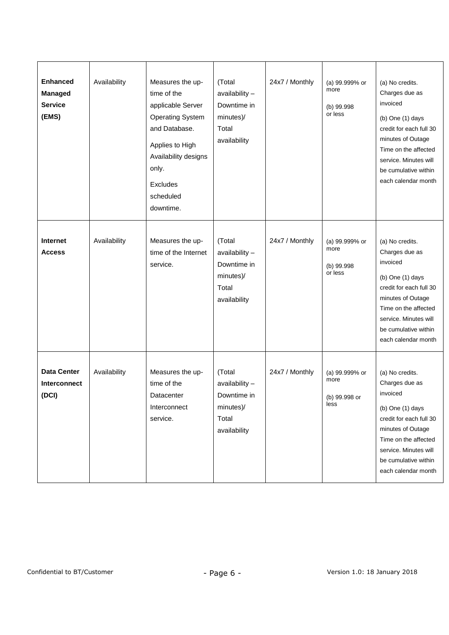| <b>Enhanced</b><br>Managed<br><b>Service</b><br>(EMS) | Availability | Measures the up-<br>time of the<br>applicable Server<br><b>Operating System</b><br>and Database.<br>Applies to High<br>Availability designs<br>only.<br>Excludes<br>scheduled<br>downtime. | (Total<br>availability -<br>Downtime in<br>minutes)/<br>Total<br>availability | 24x7 / Monthly | (a) 99.999% or<br>more<br>(b) 99.998<br>or less | (a) No credits.<br>Charges due as<br>invoiced<br>(b) One (1) days<br>credit for each full 30<br>minutes of Outage<br>Time on the affected<br>service. Minutes will<br>be cumulative within<br>each calendar month   |
|-------------------------------------------------------|--------------|--------------------------------------------------------------------------------------------------------------------------------------------------------------------------------------------|-------------------------------------------------------------------------------|----------------|-------------------------------------------------|---------------------------------------------------------------------------------------------------------------------------------------------------------------------------------------------------------------------|
| Internet<br><b>Access</b>                             | Availability | Measures the up-<br>time of the Internet<br>service.                                                                                                                                       | (Total<br>availability -<br>Downtime in<br>minutes)/<br>Total<br>availability | 24x7 / Monthly | (a) 99.999% or<br>more<br>(b) 99.998<br>or less | (a) No credits.<br>Charges due as<br>invoiced<br>(b) One $(1)$ days<br>credit for each full 30<br>minutes of Outage<br>Time on the affected<br>service. Minutes will<br>be cumulative within<br>each calendar month |
| <b>Data Center</b><br>Interconnect<br>(DCI)           | Availability | Measures the up-<br>time of the<br>Datacenter<br>Interconnect<br>service.                                                                                                                  | (Total<br>availability -<br>Downtime in<br>minutes)/<br>Total<br>availability | 24x7 / Monthly | (a) 99.999% or<br>more<br>(b) 99.998 or<br>less | (a) No credits.<br>Charges due as<br>invoiced<br>(b) One (1) days<br>credit for each full 30<br>minutes of Outage<br>Time on the affected<br>service. Minutes will<br>be cumulative within<br>each calendar month   |